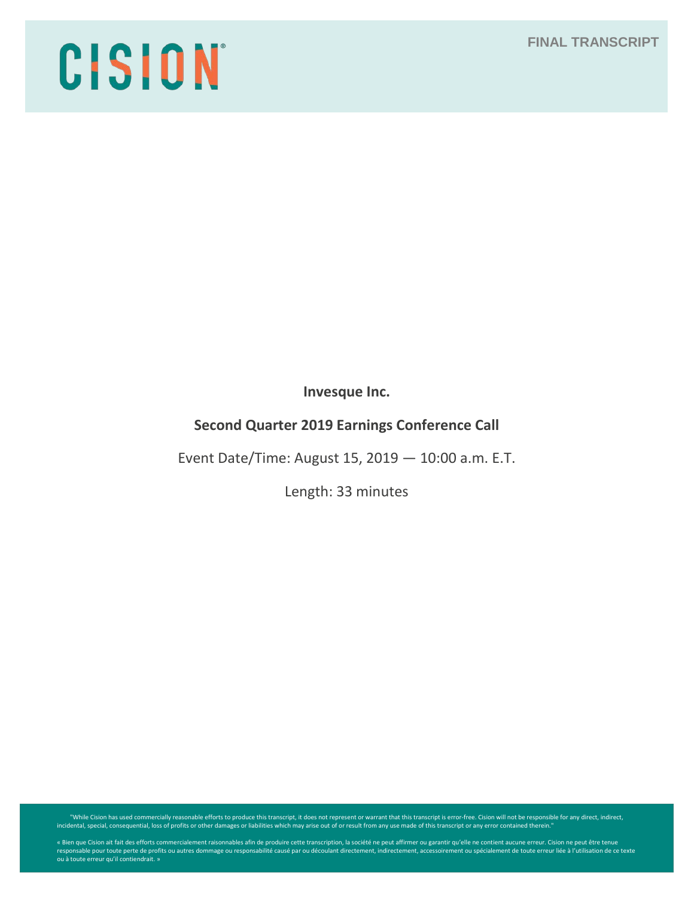# **FINAL TRANSCRIPT**

# CISION

**Invesque Inc.**

# **Second Quarter 2019 Earnings Conference Call**

Event Date/Time: August 15, 2019 — 10:00 a.m. E.T.

Length: 33 minutes

"While Cision has used commercially reasonable efforts to produce this transcript, it does not represent or warrant that this transcript is error-free. Cision will not be responsible for any direct, indirect, indirect, ind

« Bien que Cision ait fait des efforts commercialement raisonnables afin de produire cette transcription, la société ne peut affirmer ou garantir qu'elle ne contient aucune erreur. Cision ne peut être tenue<br>responsable pou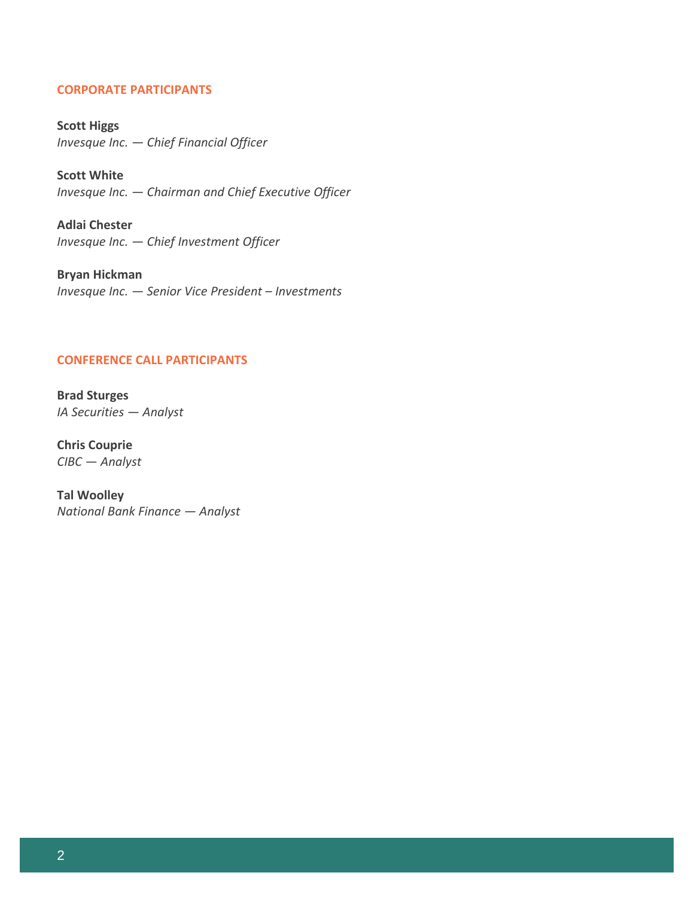## **CORPORATE PARTICIPANTS**

**Scott Higgs** *Invesque Inc. — Chief Financial Officer*

**Scott White** *Invesque Inc. — Chairman and Chief Executive Officer*

**Adlai Chester** *Invesque Inc. — Chief Investment Officer*

**Bryan Hickman** *Invesque Inc. — Senior Vice President – Investments*

## **CONFERENCE CALL PARTICIPANTS**

**Brad Sturges** *IA Securities — Analyst*

**Chris Couprie** *CIBC — Analyst*

**Tal Woolley** *National Bank Finance — Analyst*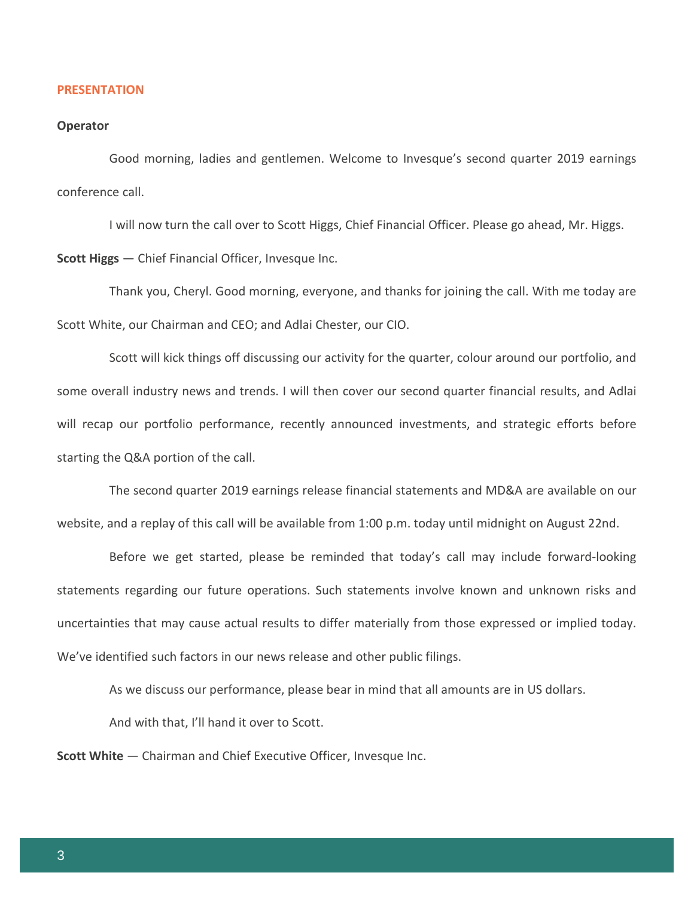#### **PRESENTATION**

#### **Operator**

Good morning, ladies and gentlemen. Welcome to Invesque's second quarter 2019 earnings conference call.

I will now turn the call over to Scott Higgs, Chief Financial Officer. Please go ahead, Mr. Higgs.

**Scott Higgs** — Chief Financial Officer, Invesque Inc.

Thank you, Cheryl. Good morning, everyone, and thanks for joining the call. With me today are Scott White, our Chairman and CEO; and Adlai Chester, our CIO.

Scott will kick things off discussing our activity for the quarter, colour around our portfolio, and some overall industry news and trends. I will then cover our second quarter financial results, and Adlai will recap our portfolio performance, recently announced investments, and strategic efforts before starting the Q&A portion of the call.

The second quarter 2019 earnings release financial statements and MD&A are available on our website, and a replay of this call will be available from 1:00 p.m. today until midnight on August 22nd.

Before we get started, please be reminded that today's call may include forward-looking statements regarding our future operations. Such statements involve known and unknown risks and uncertainties that may cause actual results to differ materially from those expressed or implied today. We've identified such factors in our news release and other public filings.

As we discuss our performance, please bear in mind that all amounts are in US dollars.

And with that, I'll hand it over to Scott.

**Scott White** — Chairman and Chief Executive Officer, Invesque Inc.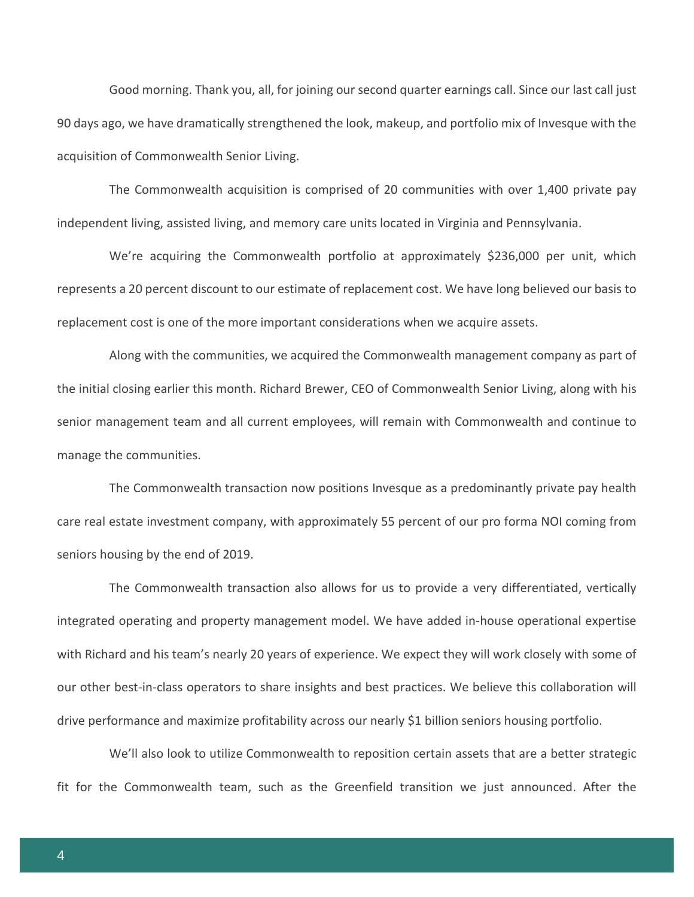Good morning. Thank you, all, for joining our second quarter earnings call. Since our last call just 90 days ago, we have dramatically strengthened the look, makeup, and portfolio mix of Invesque with the acquisition of Commonwealth Senior Living.

The Commonwealth acquisition is comprised of 20 communities with over 1,400 private pay independent living, assisted living, and memory care units located in Virginia and Pennsylvania.

We're acquiring the Commonwealth portfolio at approximately \$236,000 per unit, which represents a 20 percent discount to our estimate of replacement cost. We have long believed our basis to replacement cost is one of the more important considerations when we acquire assets.

Along with the communities, we acquired the Commonwealth management company as part of the initial closing earlier this month. Richard Brewer, CEO of Commonwealth Senior Living, along with his senior management team and all current employees, will remain with Commonwealth and continue to manage the communities.

The Commonwealth transaction now positions Invesque as a predominantly private pay health care real estate investment company, with approximately 55 percent of our pro forma NOI coming from seniors housing by the end of 2019.

The Commonwealth transaction also allows for us to provide a very differentiated, vertically integrated operating and property management model. We have added in-house operational expertise with Richard and his team's nearly 20 years of experience. We expect they will work closely with some of our other best-in-class operators to share insights and best practices. We believe this collaboration will drive performance and maximize profitability across our nearly \$1 billion seniors housing portfolio.

We'll also look to utilize Commonwealth to reposition certain assets that are a better strategic fit for the Commonwealth team, such as the Greenfield transition we just announced. After the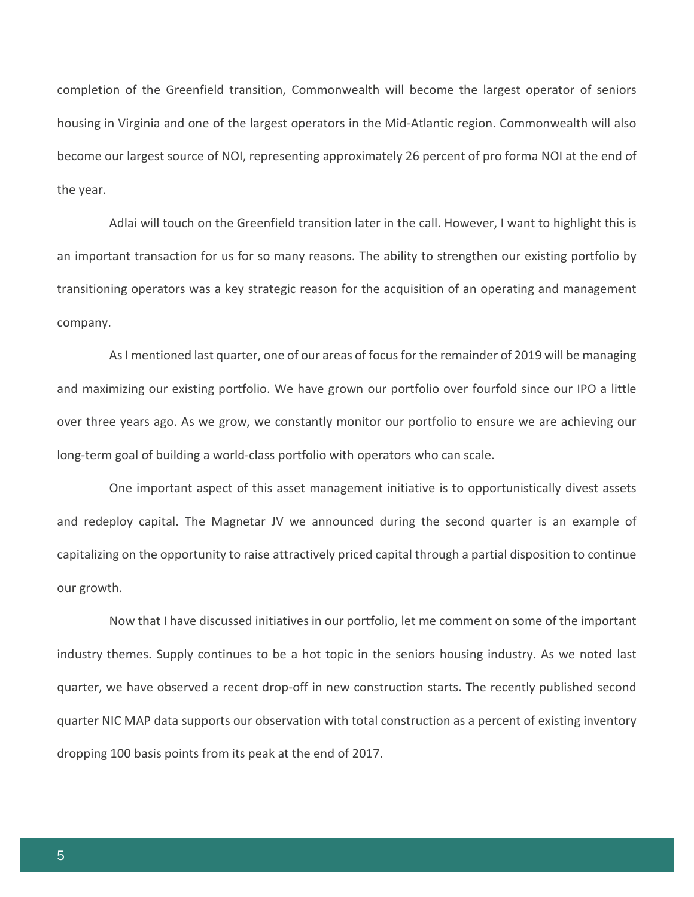completion of the Greenfield transition, Commonwealth will become the largest operator of seniors housing in Virginia and one of the largest operators in the Mid-Atlantic region. Commonwealth will also become our largest source of NOI, representing approximately 26 percent of pro forma NOI at the end of the year.

Adlai will touch on the Greenfield transition later in the call. However, I want to highlight this is an important transaction for us for so many reasons. The ability to strengthen our existing portfolio by transitioning operators was a key strategic reason for the acquisition of an operating and management company.

As I mentioned last quarter, one of our areas of focus for the remainder of 2019 will be managing and maximizing our existing portfolio. We have grown our portfolio over fourfold since our IPO a little over three years ago. As we grow, we constantly monitor our portfolio to ensure we are achieving our long-term goal of building a world-class portfolio with operators who can scale.

One important aspect of this asset management initiative is to opportunistically divest assets and redeploy capital. The Magnetar JV we announced during the second quarter is an example of capitalizing on the opportunity to raise attractively priced capital through a partial disposition to continue our growth.

Now that I have discussed initiatives in our portfolio, let me comment on some of the important industry themes. Supply continues to be a hot topic in the seniors housing industry. As we noted last quarter, we have observed a recent drop-off in new construction starts. The recently published second quarter NIC MAP data supports our observation with total construction as a percent of existing inventory dropping 100 basis points from its peak at the end of 2017.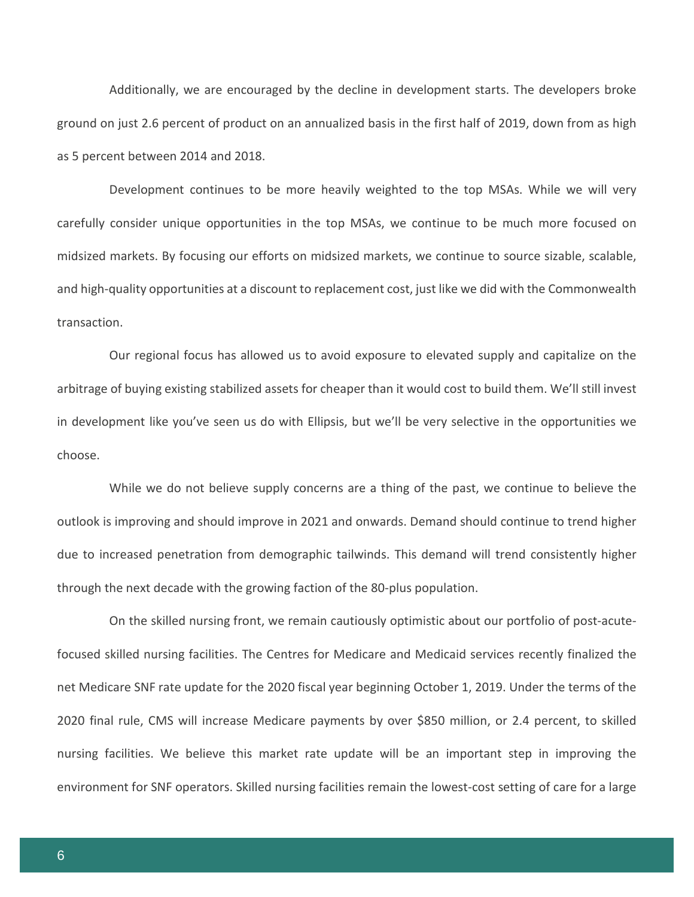Additionally, we are encouraged by the decline in development starts. The developers broke ground on just 2.6 percent of product on an annualized basis in the first half of 2019, down from as high as 5 percent between 2014 and 2018.

Development continues to be more heavily weighted to the top MSAs. While we will very carefully consider unique opportunities in the top MSAs, we continue to be much more focused on midsized markets. By focusing our efforts on midsized markets, we continue to source sizable, scalable, and high-quality opportunities at a discount to replacement cost, just like we did with the Commonwealth transaction.

Our regional focus has allowed us to avoid exposure to elevated supply and capitalize on the arbitrage of buying existing stabilized assets for cheaper than it would cost to build them. We'll still invest in development like you've seen us do with Ellipsis, but we'll be very selective in the opportunities we choose.

While we do not believe supply concerns are a thing of the past, we continue to believe the outlook is improving and should improve in 2021 and onwards. Demand should continue to trend higher due to increased penetration from demographic tailwinds. This demand will trend consistently higher through the next decade with the growing faction of the 80-plus population.

On the skilled nursing front, we remain cautiously optimistic about our portfolio of post-acutefocused skilled nursing facilities. The Centres for Medicare and Medicaid services recently finalized the net Medicare SNF rate update for the 2020 fiscal year beginning October 1, 2019. Under the terms of the 2020 final rule, CMS will increase Medicare payments by over \$850 million, or 2.4 percent, to skilled nursing facilities. We believe this market rate update will be an important step in improving the environment for SNF operators. Skilled nursing facilities remain the lowest-cost setting of care for a large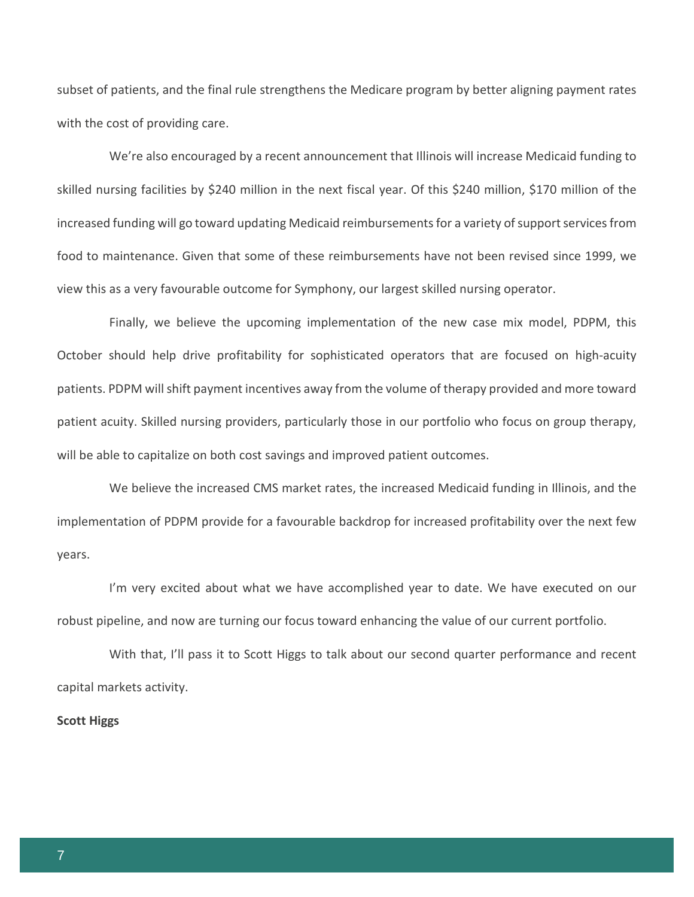subset of patients, and the final rule strengthens the Medicare program by better aligning payment rates with the cost of providing care.

We're also encouraged by a recent announcement that Illinois will increase Medicaid funding to skilled nursing facilities by \$240 million in the next fiscal year. Of this \$240 million, \$170 million of the increased funding will go toward updating Medicaid reimbursements for a variety of support services from food to maintenance. Given that some of these reimbursements have not been revised since 1999, we view this as a very favourable outcome for Symphony, our largest skilled nursing operator.

Finally, we believe the upcoming implementation of the new case mix model, PDPM, this October should help drive profitability for sophisticated operators that are focused on high-acuity patients. PDPM will shift payment incentives away from the volume of therapy provided and more toward patient acuity. Skilled nursing providers, particularly those in our portfolio who focus on group therapy, will be able to capitalize on both cost savings and improved patient outcomes.

We believe the increased CMS market rates, the increased Medicaid funding in Illinois, and the implementation of PDPM provide for a favourable backdrop for increased profitability over the next few years.

I'm very excited about what we have accomplished year to date. We have executed on our robust pipeline, and now are turning our focus toward enhancing the value of our current portfolio.

With that, I'll pass it to Scott Higgs to talk about our second quarter performance and recent capital markets activity.

#### **Scott Higgs**

7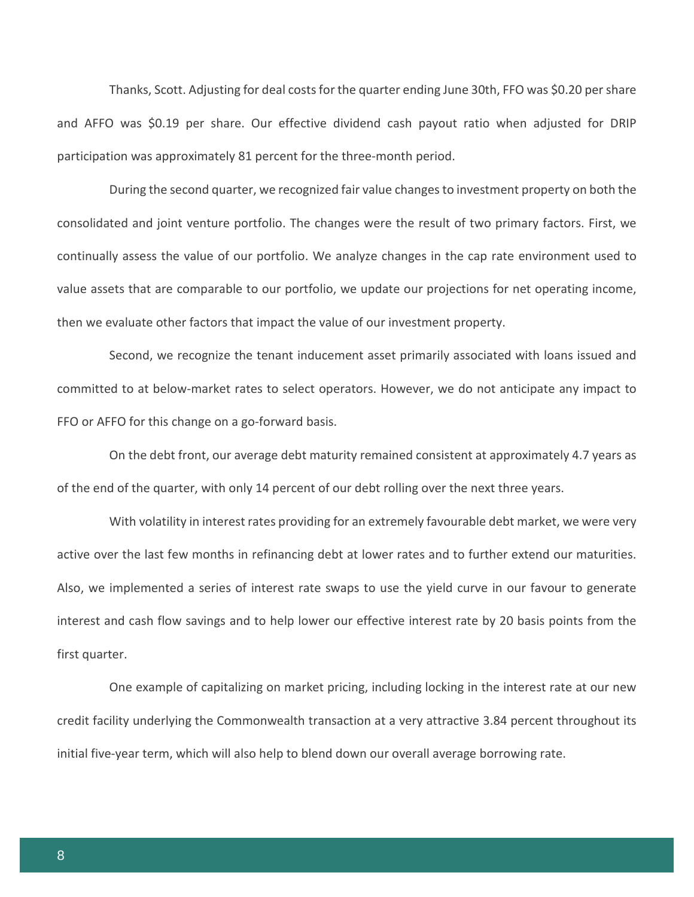Thanks, Scott. Adjusting for deal costs for the quarter ending June 30th, FFO was \$0.20 per share and AFFO was \$0.19 per share. Our effective dividend cash payout ratio when adjusted for DRIP participation was approximately 81 percent for the three-month period.

During the second quarter, we recognized fair value changes to investment property on both the consolidated and joint venture portfolio. The changes were the result of two primary factors. First, we continually assess the value of our portfolio. We analyze changes in the cap rate environment used to value assets that are comparable to our portfolio, we update our projections for net operating income, then we evaluate other factors that impact the value of our investment property.

Second, we recognize the tenant inducement asset primarily associated with loans issued and committed to at below-market rates to select operators. However, we do not anticipate any impact to FFO or AFFO for this change on a go-forward basis.

On the debt front, our average debt maturity remained consistent at approximately 4.7 years as of the end of the quarter, with only 14 percent of our debt rolling over the next three years.

With volatility in interest rates providing for an extremely favourable debt market, we were very active over the last few months in refinancing debt at lower rates and to further extend our maturities. Also, we implemented a series of interest rate swaps to use the yield curve in our favour to generate interest and cash flow savings and to help lower our effective interest rate by 20 basis points from the first quarter.

One example of capitalizing on market pricing, including locking in the interest rate at our new credit facility underlying the Commonwealth transaction at a very attractive 3.84 percent throughout its initial five-year term, which will also help to blend down our overall average borrowing rate.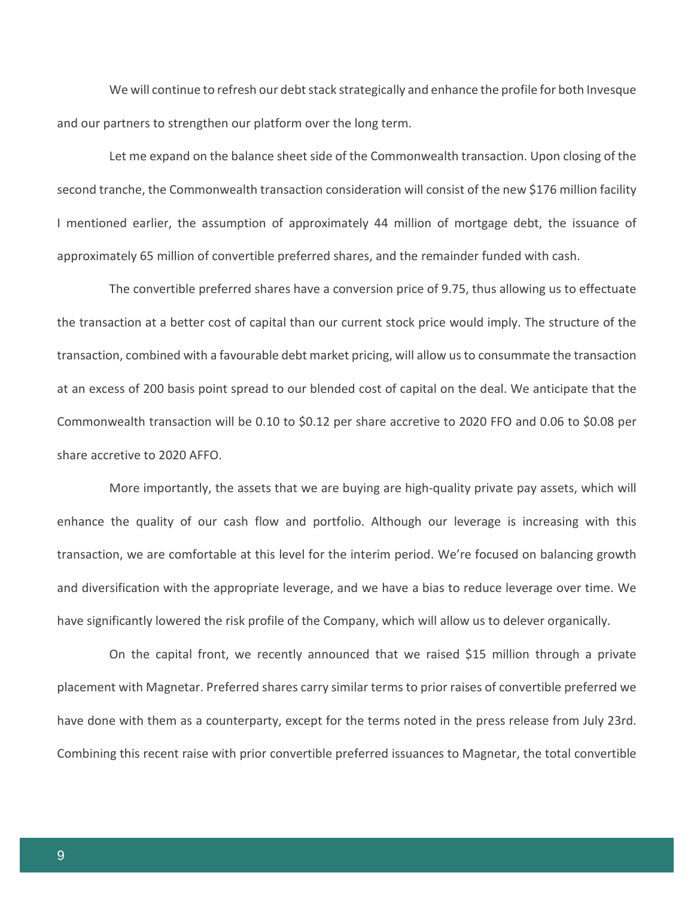We will continue to refresh our debt stack strategically and enhance the profile for both Invesque and our partners to strengthen our platform over the long term.

Let me expand on the balance sheet side of the Commonwealth transaction. Upon closing of the second tranche, the Commonwealth transaction consideration will consist of the new \$176 million facility I mentioned earlier, the assumption of approximately 44 million of mortgage debt, the issuance of approximately 65 million of convertible preferred shares, and the remainder funded with cash.

The convertible preferred shares have a conversion price of 9.75, thus allowing us to effectuate the transaction at a better cost of capital than our current stock price would imply. The structure of the transaction, combined with a favourable debt market pricing, will allow us to consummate the transaction at an excess of 200 basis point spread to our blended cost of capital on the deal. We anticipate that the Commonwealth transaction will be 0.10 to \$0.12 per share accretive to 2020 FFO and 0.06 to \$0.08 per share accretive to 2020 AFFO.

More importantly, the assets that we are buying are high-quality private pay assets, which will enhance the quality of our cash flow and portfolio. Although our leverage is increasing with this transaction, we are comfortable at this level for the interim period. We're focused on balancing growth and diversification with the appropriate leverage, and we have a bias to reduce leverage over time. We have significantly lowered the risk profile of the Company, which will allow us to delever organically.

On the capital front, we recently announced that we raised \$15 million through a private placement with Magnetar. Preferred shares carry similar terms to prior raises of convertible preferred we have done with them as a counterparty, except for the terms noted in the press release from July 23rd. Combining this recent raise with prior convertible preferred issuances to Magnetar, the total convertible

9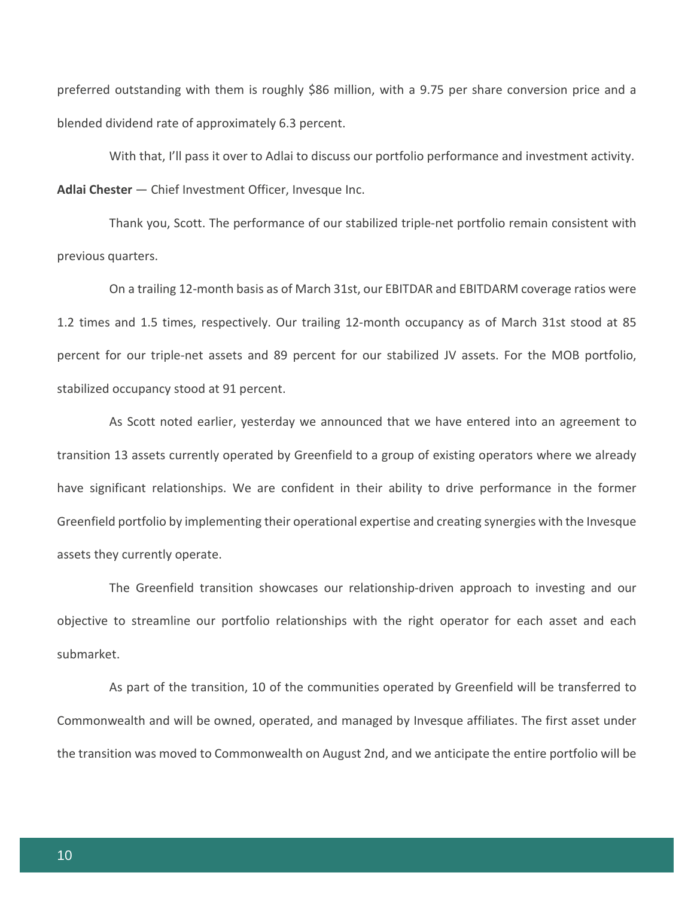preferred outstanding with them is roughly \$86 million, with a 9.75 per share conversion price and a blended dividend rate of approximately 6.3 percent.

With that, I'll pass it over to Adlai to discuss our portfolio performance and investment activity. **Adlai Chester** — Chief Investment Officer, Invesque Inc.

Thank you, Scott. The performance of our stabilized triple-net portfolio remain consistent with previous quarters.

On a trailing 12-month basis as of March 31st, our EBITDAR and EBITDARM coverage ratios were 1.2 times and 1.5 times, respectively. Our trailing 12-month occupancy as of March 31st stood at 85 percent for our triple-net assets and 89 percent for our stabilized JV assets. For the MOB portfolio, stabilized occupancy stood at 91 percent.

As Scott noted earlier, yesterday we announced that we have entered into an agreement to transition 13 assets currently operated by Greenfield to a group of existing operators where we already have significant relationships. We are confident in their ability to drive performance in the former Greenfield portfolio by implementing their operational expertise and creating synergies with the Invesque assets they currently operate.

The Greenfield transition showcases our relationship-driven approach to investing and our objective to streamline our portfolio relationships with the right operator for each asset and each submarket.

As part of the transition, 10 of the communities operated by Greenfield will be transferred to Commonwealth and will be owned, operated, and managed by Invesque affiliates. The first asset under the transition was moved to Commonwealth on August 2nd, and we anticipate the entire portfolio will be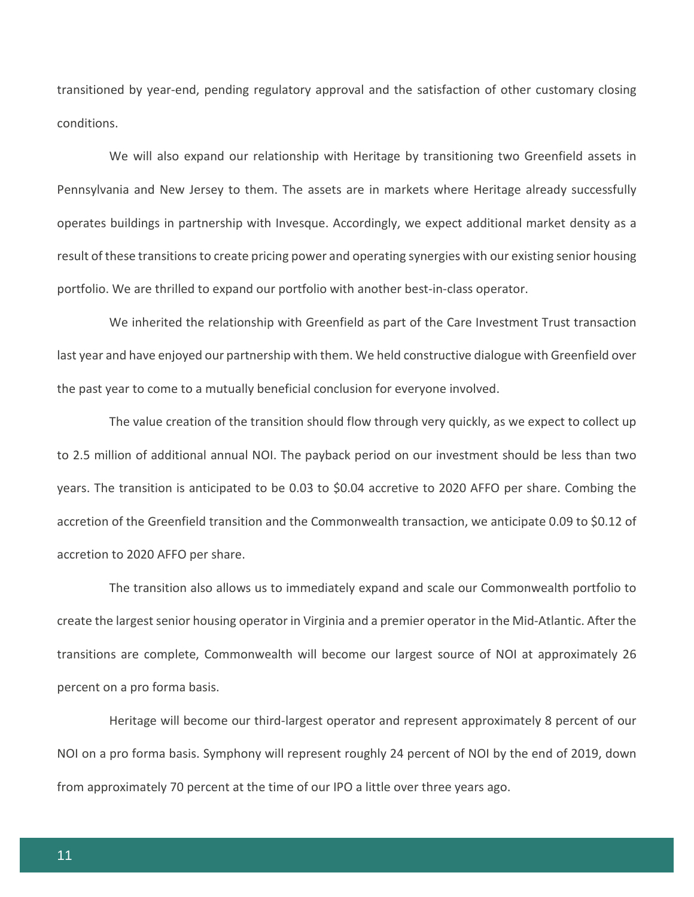transitioned by year-end, pending regulatory approval and the satisfaction of other customary closing conditions.

We will also expand our relationship with Heritage by transitioning two Greenfield assets in Pennsylvania and New Jersey to them. The assets are in markets where Heritage already successfully operates buildings in partnership with Invesque. Accordingly, we expect additional market density as a result of these transitions to create pricing power and operating synergies with our existing senior housing portfolio. We are thrilled to expand our portfolio with another best-in-class operator.

We inherited the relationship with Greenfield as part of the Care Investment Trust transaction last year and have enjoyed our partnership with them. We held constructive dialogue with Greenfield over the past year to come to a mutually beneficial conclusion for everyone involved.

The value creation of the transition should flow through very quickly, as we expect to collect up to 2.5 million of additional annual NOI. The payback period on our investment should be less than two years. The transition is anticipated to be 0.03 to \$0.04 accretive to 2020 AFFO per share. Combing the accretion of the Greenfield transition and the Commonwealth transaction, we anticipate 0.09 to \$0.12 of accretion to 2020 AFFO per share.

The transition also allows us to immediately expand and scale our Commonwealth portfolio to create the largest senior housing operator in Virginia and a premier operator in the Mid-Atlantic. After the transitions are complete, Commonwealth will become our largest source of NOI at approximately 26 percent on a pro forma basis.

Heritage will become our third-largest operator and represent approximately 8 percent of our NOI on a pro forma basis. Symphony will represent roughly 24 percent of NOI by the end of 2019, down from approximately 70 percent at the time of our IPO a little over three years ago.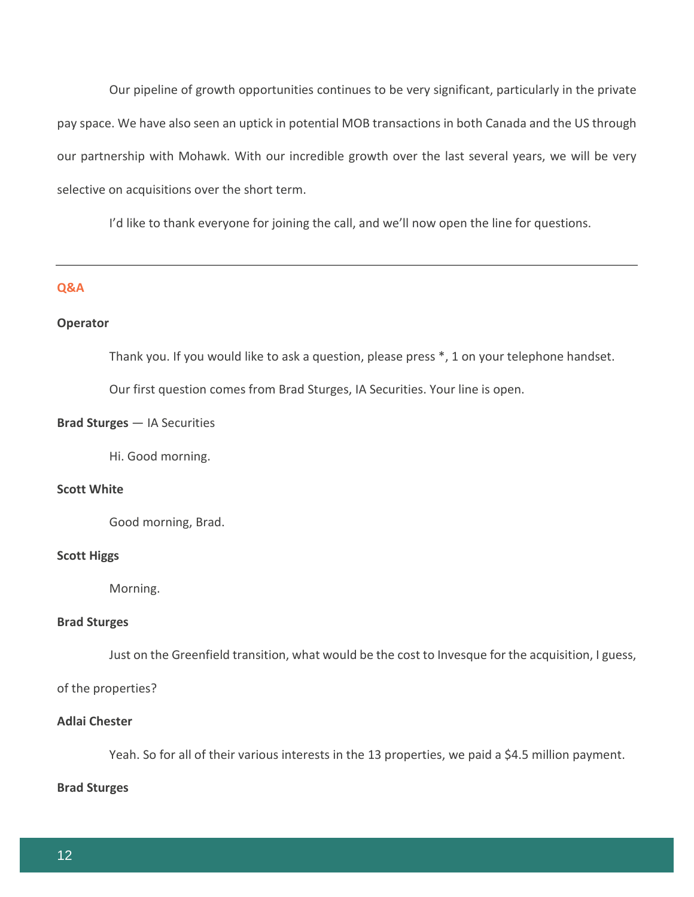Our pipeline of growth opportunities continues to be very significant, particularly in the private pay space. We have also seen an uptick in potential MOB transactions in both Canada and the US through our partnership with Mohawk. With our incredible growth over the last several years, we will be very selective on acquisitions over the short term.

I'd like to thank everyone for joining the call, and we'll now open the line for questions.

## **Q&A**

## **Operator**

Thank you. If you would like to ask a question, please press \*, 1 on your telephone handset.

Our first question comes from Brad Sturges, IA Securities. Your line is open.

## **Brad Sturges** — IA Securities

Hi. Good morning.

## **Scott White**

Good morning, Brad.

## **Scott Higgs**

Morning.

#### **Brad Sturges**

Just on the Greenfield transition, what would be the cost to Invesque for the acquisition, I guess,

of the properties?

## **Adlai Chester**

Yeah. So for all of their various interests in the 13 properties, we paid a \$4.5 million payment.

## **Brad Sturges**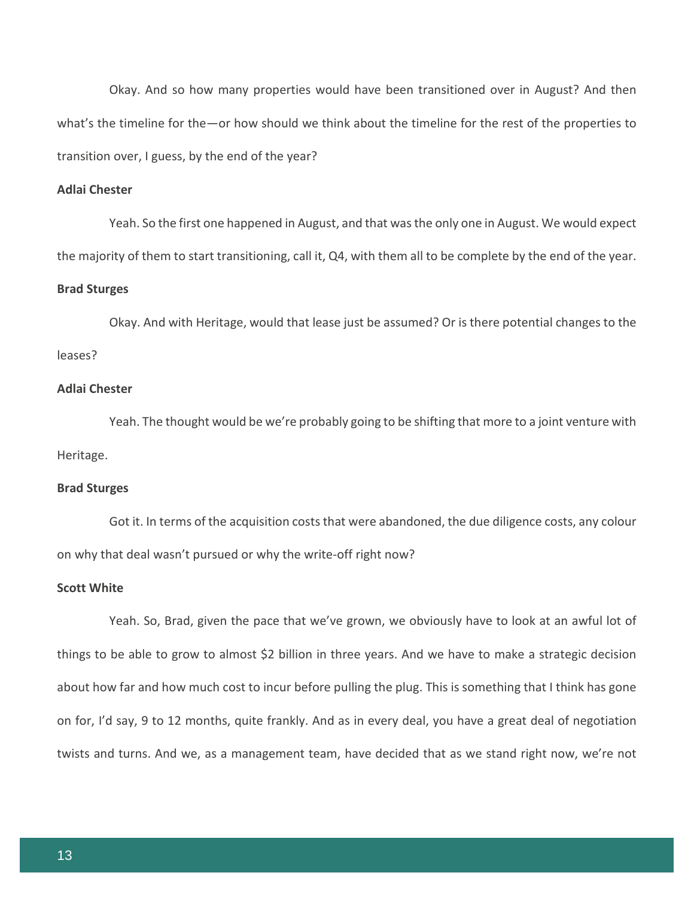Okay. And so how many properties would have been transitioned over in August? And then what's the timeline for the—or how should we think about the timeline for the rest of the properties to transition over, I guess, by the end of the year?

## **Adlai Chester**

Yeah. So the first one happened in August, and that was the only one in August. We would expect the majority of them to start transitioning, call it, Q4, with them all to be complete by the end of the year.

#### **Brad Sturges**

Okay. And with Heritage, would that lease just be assumed? Or is there potential changes to the leases?

## **Adlai Chester**

Yeah. The thought would be we're probably going to be shifting that more to a joint venture with Heritage.

## **Brad Sturges**

Got it. In terms of the acquisition costs that were abandoned, the due diligence costs, any colour on why that deal wasn't pursued or why the write-off right now?

## **Scott White**

Yeah. So, Brad, given the pace that we've grown, we obviously have to look at an awful lot of things to be able to grow to almost \$2 billion in three years. And we have to make a strategic decision about how far and how much cost to incur before pulling the plug. This is something that I think has gone on for, I'd say, 9 to 12 months, quite frankly. And as in every deal, you have a great deal of negotiation twists and turns. And we, as a management team, have decided that as we stand right now, we're not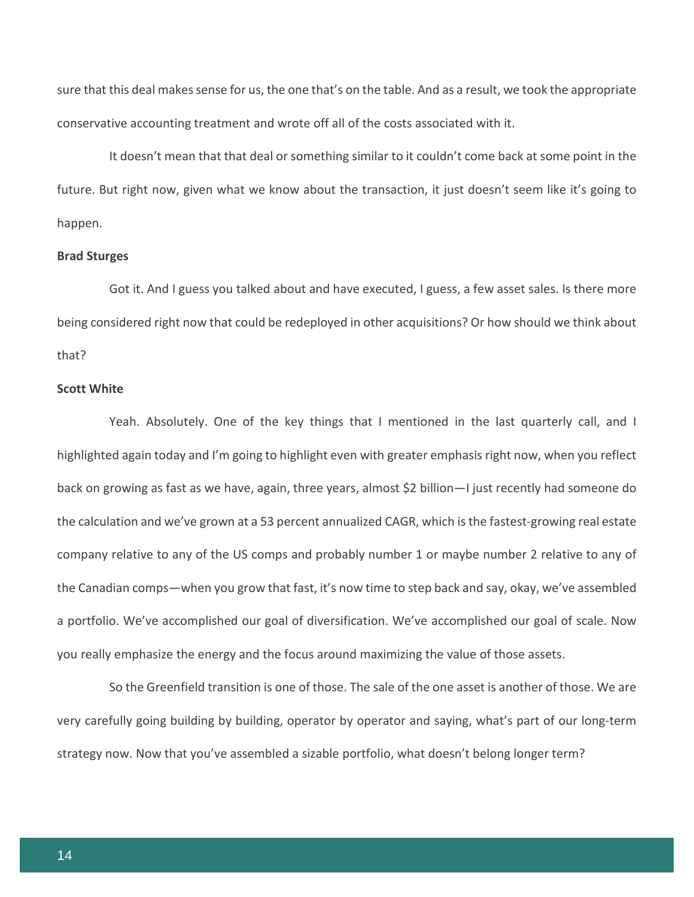sure that this deal makes sense for us, the one that's on the table. And as a result, we took the appropriate conservative accounting treatment and wrote off all of the costs associated with it.

It doesn't mean that that deal or something similar to it couldn't come back at some point in the future. But right now, given what we know about the transaction, it just doesn't seem like it's going to happen.

#### **Brad Sturges**

Got it. And I guess you talked about and have executed, I guess, a few asset sales. Is there more being considered right now that could be redeployed in other acquisitions? Or how should we think about that?

## **Scott White**

Yeah. Absolutely. One of the key things that I mentioned in the last quarterly call, and I highlighted again today and I'm going to highlight even with greater emphasis right now, when you reflect back on growing as fast as we have, again, three years, almost \$2 billion—I just recently had someone do the calculation and we've grown at a 53 percent annualized CAGR, which is the fastest-growing real estate company relative to any of the US comps and probably number 1 or maybe number 2 relative to any of the Canadian comps—when you grow that fast, it's now time to step back and say, okay, we've assembled a portfolio. We've accomplished our goal of diversification. We've accomplished our goal of scale. Now you really emphasize the energy and the focus around maximizing the value of those assets.

So the Greenfield transition is one of those. The sale of the one asset is another of those. We are very carefully going building by building, operator by operator and saying, what's part of our long-term strategy now. Now that you've assembled a sizable portfolio, what doesn't belong longer term?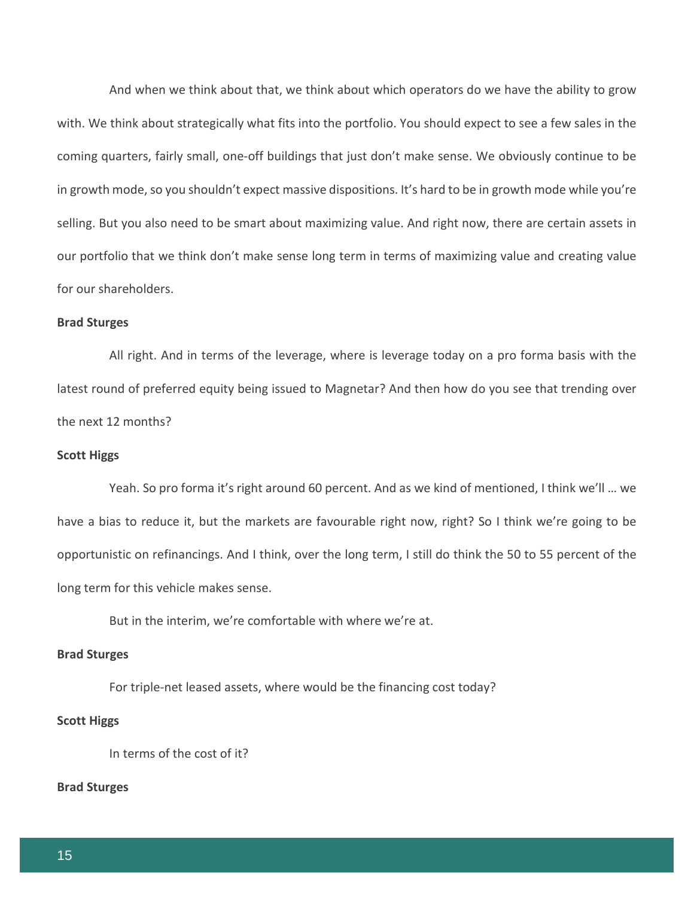And when we think about that, we think about which operators do we have the ability to grow with. We think about strategically what fits into the portfolio. You should expect to see a few sales in the coming quarters, fairly small, one-off buildings that just don't make sense. We obviously continue to be in growth mode, so you shouldn't expect massive dispositions. It's hard to be in growth mode while you're selling. But you also need to be smart about maximizing value. And right now, there are certain assets in our portfolio that we think don't make sense long term in terms of maximizing value and creating value for our shareholders.

#### **Brad Sturges**

All right. And in terms of the leverage, where is leverage today on a pro forma basis with the latest round of preferred equity being issued to Magnetar? And then how do you see that trending over the next 12 months?

## **Scott Higgs**

Yeah. So pro forma it's right around 60 percent. And as we kind of mentioned, I think we'll … we have a bias to reduce it, but the markets are favourable right now, right? So I think we're going to be opportunistic on refinancings. And I think, over the long term, I still do think the 50 to 55 percent of the long term for this vehicle makes sense.

But in the interim, we're comfortable with where we're at.

## **Brad Sturges**

For triple-net leased assets, where would be the financing cost today?

#### **Scott Higgs**

In terms of the cost of it?

## **Brad Sturges**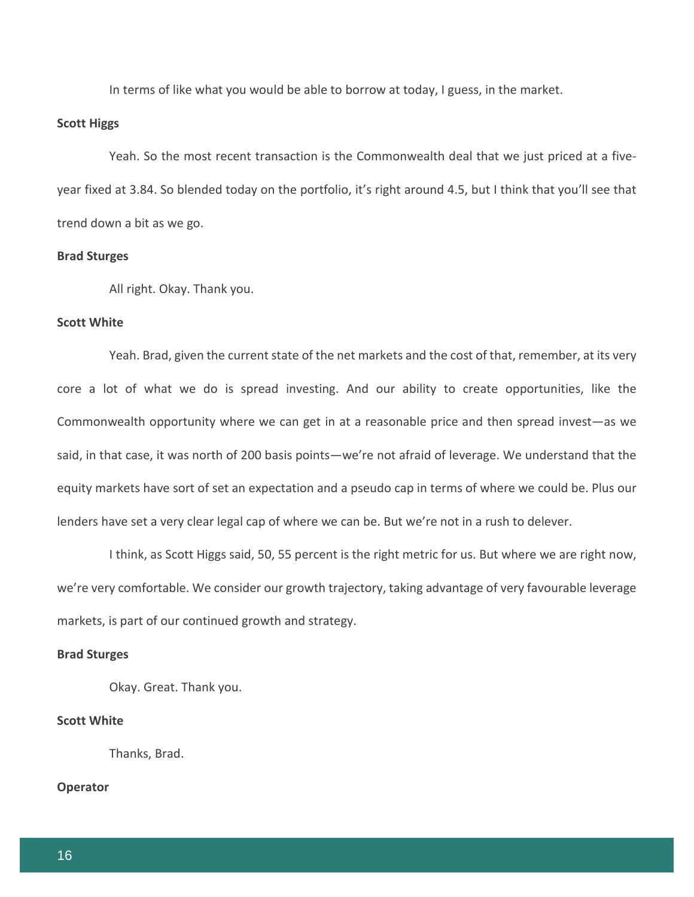In terms of like what you would be able to borrow at today, I guess, in the market.

#### **Scott Higgs**

Yeah. So the most recent transaction is the Commonwealth deal that we just priced at a fiveyear fixed at 3.84. So blended today on the portfolio, it's right around 4.5, but I think that you'll see that trend down a bit as we go.

## **Brad Sturges**

All right. Okay. Thank you.

## **Scott White**

Yeah. Brad, given the current state of the net markets and the cost of that, remember, at its very core a lot of what we do is spread investing. And our ability to create opportunities, like the Commonwealth opportunity where we can get in at a reasonable price and then spread invest—as we said, in that case, it was north of 200 basis points—we're not afraid of leverage. We understand that the equity markets have sort of set an expectation and a pseudo cap in terms of where we could be. Plus our lenders have set a very clear legal cap of where we can be. But we're not in a rush to delever.

I think, as Scott Higgs said, 50, 55 percent is the right metric for us. But where we are right now, we're very comfortable. We consider our growth trajectory, taking advantage of very favourable leverage markets, is part of our continued growth and strategy.

## **Brad Sturges**

Okay. Great. Thank you.

#### **Scott White**

Thanks, Brad.

## **Operator**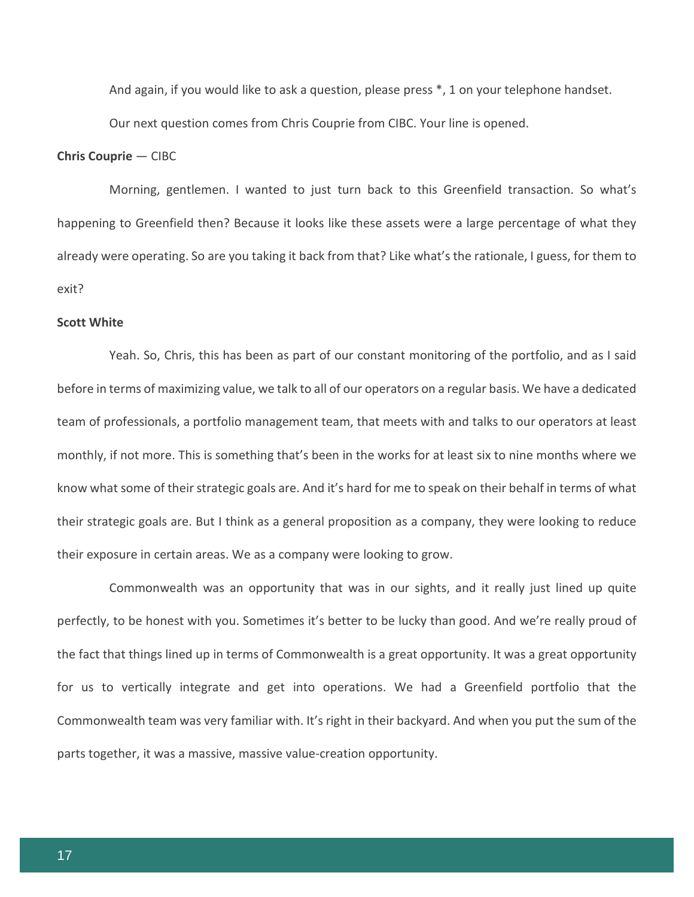And again, if you would like to ask a question, please press \*, 1 on your telephone handset.

Our next question comes from Chris Couprie from CIBC. Your line is opened.

## **Chris Couprie** — CIBC

Morning, gentlemen. I wanted to just turn back to this Greenfield transaction. So what's happening to Greenfield then? Because it looks like these assets were a large percentage of what they already were operating. So are you taking it back from that? Like what's the rationale, I guess, for them to exit?

#### **Scott White**

Yeah. So, Chris, this has been as part of our constant monitoring of the portfolio, and as I said before in terms of maximizing value, we talk to all of our operators on a regular basis. We have a dedicated team of professionals, a portfolio management team, that meets with and talks to our operators at least monthly, if not more. This is something that's been in the works for at least six to nine months where we know what some of their strategic goals are. And it's hard for me to speak on their behalf in terms of what their strategic goals are. But I think as a general proposition as a company, they were looking to reduce their exposure in certain areas. We as a company were looking to grow.

Commonwealth was an opportunity that was in our sights, and it really just lined up quite perfectly, to be honest with you. Sometimes it's better to be lucky than good. And we're really proud of the fact that things lined up in terms of Commonwealth is a great opportunity. It was a great opportunity for us to vertically integrate and get into operations. We had a Greenfield portfolio that the Commonwealth team was very familiar with. It's right in their backyard. And when you put the sum of the parts together, it was a massive, massive value-creation opportunity.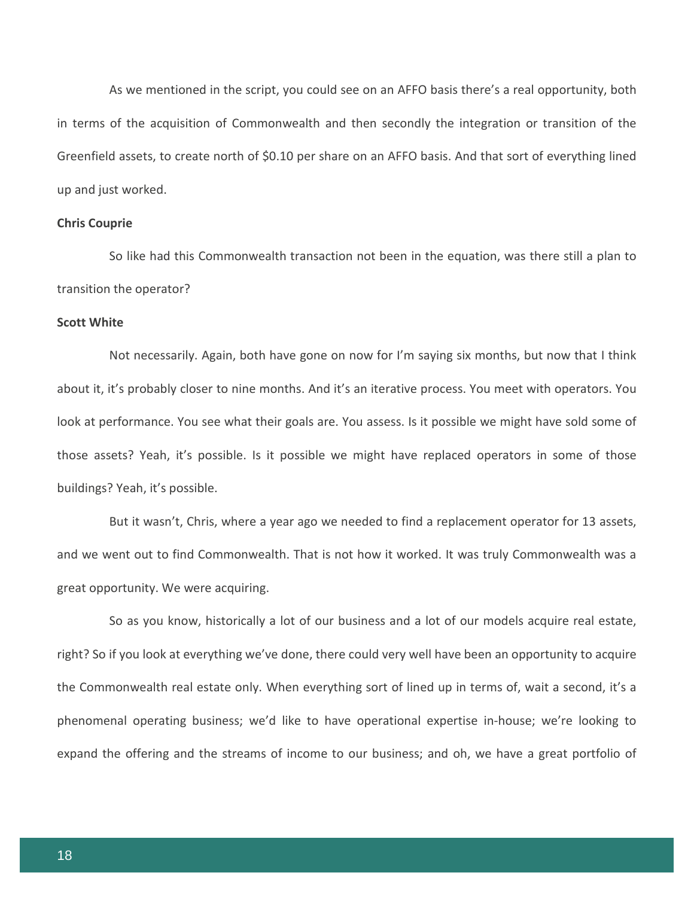As we mentioned in the script, you could see on an AFFO basis there's a real opportunity, both in terms of the acquisition of Commonwealth and then secondly the integration or transition of the Greenfield assets, to create north of \$0.10 per share on an AFFO basis. And that sort of everything lined up and just worked.

## **Chris Couprie**

So like had this Commonwealth transaction not been in the equation, was there still a plan to transition the operator?

#### **Scott White**

Not necessarily. Again, both have gone on now for I'm saying six months, but now that I think about it, it's probably closer to nine months. And it's an iterative process. You meet with operators. You look at performance. You see what their goals are. You assess. Is it possible we might have sold some of those assets? Yeah, it's possible. Is it possible we might have replaced operators in some of those buildings? Yeah, it's possible.

But it wasn't, Chris, where a year ago we needed to find a replacement operator for 13 assets, and we went out to find Commonwealth. That is not how it worked. It was truly Commonwealth was a great opportunity. We were acquiring.

So as you know, historically a lot of our business and a lot of our models acquire real estate, right? So if you look at everything we've done, there could very well have been an opportunity to acquire the Commonwealth real estate only. When everything sort of lined up in terms of, wait a second, it's a phenomenal operating business; we'd like to have operational expertise in-house; we're looking to expand the offering and the streams of income to our business; and oh, we have a great portfolio of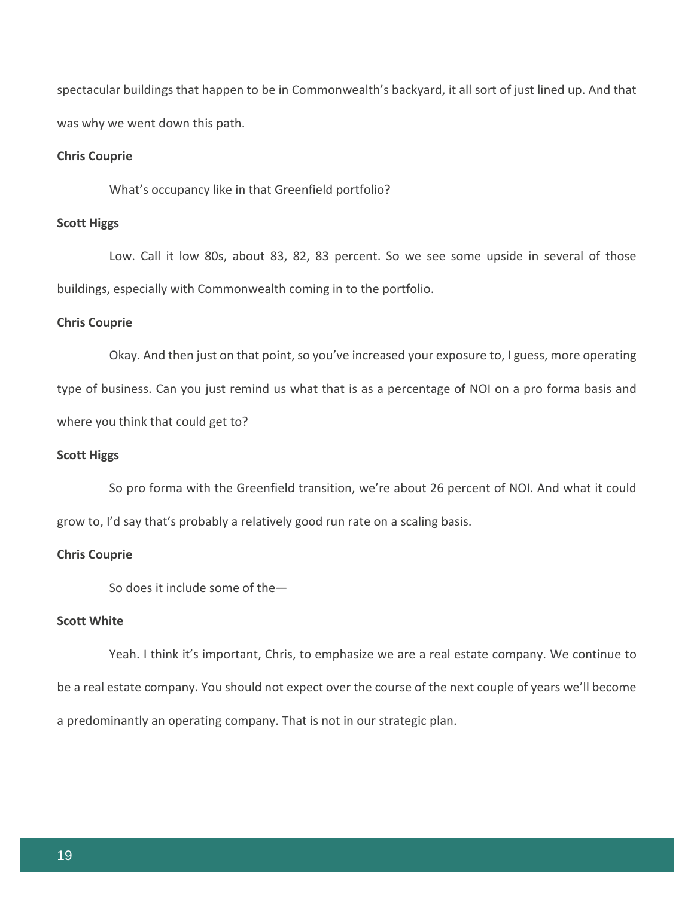spectacular buildings that happen to be in Commonwealth's backyard, it all sort of just lined up. And that was why we went down this path.

## **Chris Couprie**

What's occupancy like in that Greenfield portfolio?

## **Scott Higgs**

Low. Call it low 80s, about 83, 82, 83 percent. So we see some upside in several of those buildings, especially with Commonwealth coming in to the portfolio.

## **Chris Couprie**

Okay. And then just on that point, so you've increased your exposure to, I guess, more operating type of business. Can you just remind us what that is as a percentage of NOI on a pro forma basis and

where you think that could get to?

## **Scott Higgs**

So pro forma with the Greenfield transition, we're about 26 percent of NOI. And what it could grow to, I'd say that's probably a relatively good run rate on a scaling basis.

## **Chris Couprie**

So does it include some of the—

#### **Scott White**

Yeah. I think it's important, Chris, to emphasize we are a real estate company. We continue to be a real estate company. You should not expect over the course of the next couple of years we'll become a predominantly an operating company. That is not in our strategic plan.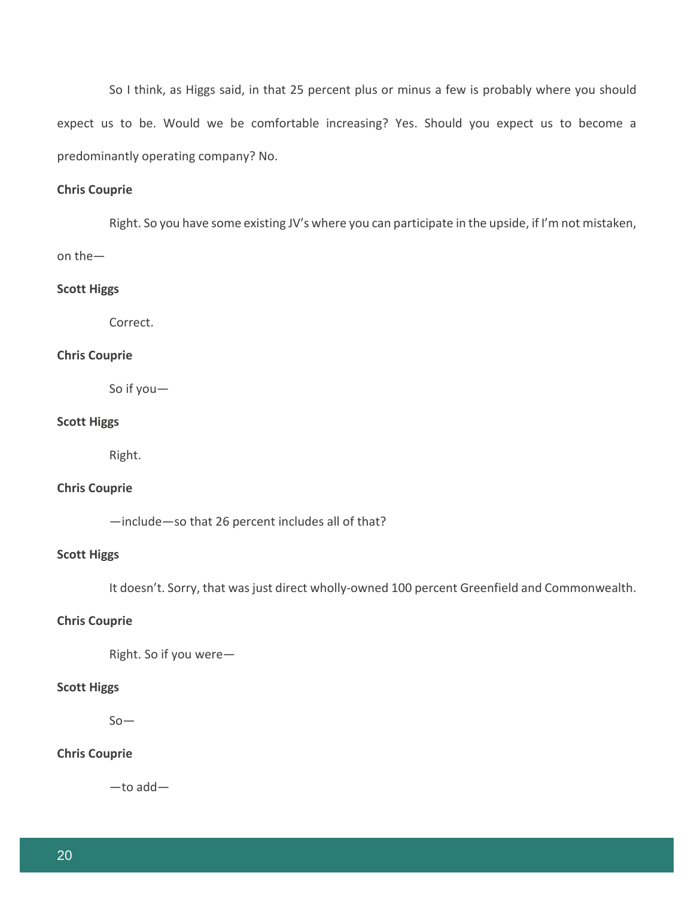So I think, as Higgs said, in that 25 percent plus or minus a few is probably where you should expect us to be. Would we be comfortable increasing? Yes. Should you expect us to become a predominantly operating company? No.

## **Chris Couprie**

Right. So you have some existing JV's where you can participate in the upside, if I'm not mistaken, on the—

#### **Scott Higgs**

Correct.

## **Chris Couprie**

So if you—

#### **Scott Higgs**

Right.

## **Chris Couprie**

—include—so that 26 percent includes all of that?

## **Scott Higgs**

It doesn't. Sorry, that was just direct wholly-owned 100 percent Greenfield and Commonwealth.

#### **Chris Couprie**

Right. So if you were—

#### **Scott Higgs**

 $So-$ 

## **Chris Couprie**

—to add—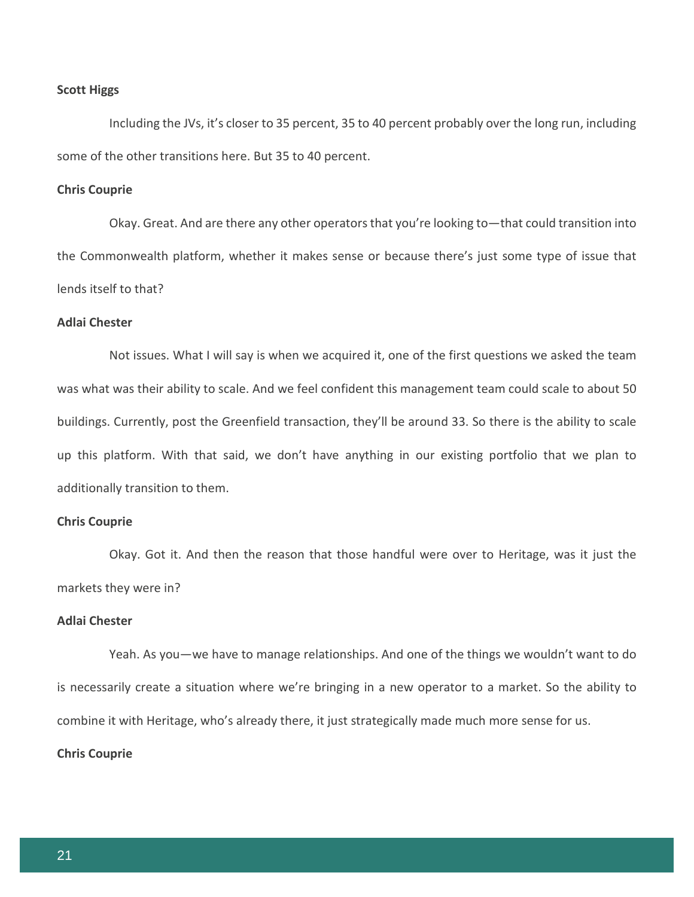#### **Scott Higgs**

Including the JVs, it's closer to 35 percent, 35 to 40 percent probably over the long run, including some of the other transitions here. But 35 to 40 percent.

## **Chris Couprie**

Okay. Great. And are there any other operators that you're looking to—that could transition into the Commonwealth platform, whether it makes sense or because there's just some type of issue that lends itself to that?

## **Adlai Chester**

Not issues. What I will say is when we acquired it, one of the first questions we asked the team was what was their ability to scale. And we feel confident this management team could scale to about 50 buildings. Currently, post the Greenfield transaction, they'll be around 33. So there is the ability to scale up this platform. With that said, we don't have anything in our existing portfolio that we plan to additionally transition to them.

## **Chris Couprie**

Okay. Got it. And then the reason that those handful were over to Heritage, was it just the markets they were in?

#### **Adlai Chester**

Yeah. As you—we have to manage relationships. And one of the things we wouldn't want to do is necessarily create a situation where we're bringing in a new operator to a market. So the ability to combine it with Heritage, who's already there, it just strategically made much more sense for us.

## **Chris Couprie**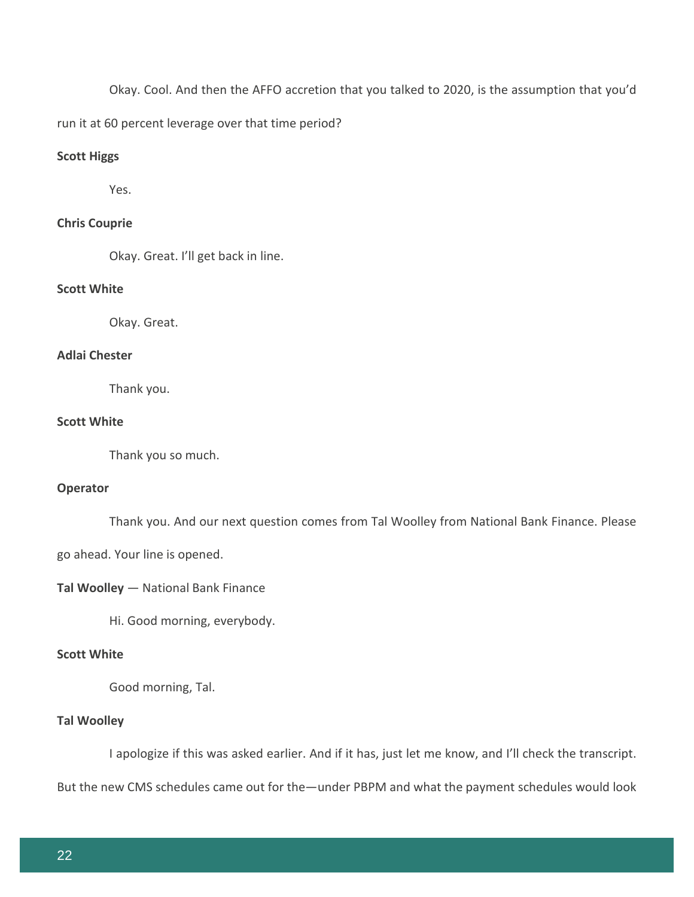Okay. Cool. And then the AFFO accretion that you talked to 2020, is the assumption that you'd

run it at 60 percent leverage over that time period?

## **Scott Higgs**

Yes.

## **Chris Couprie**

Okay. Great. I'll get back in line.

## **Scott White**

Okay. Great.

## **Adlai Chester**

Thank you.

## **Scott White**

Thank you so much.

## **Operator**

Thank you. And our next question comes from Tal Woolley from National Bank Finance. Please

go ahead. Your line is opened.

## **Tal Woolley** — National Bank Finance

Hi. Good morning, everybody.

## **Scott White**

Good morning, Tal.

## **Tal Woolley**

I apologize if this was asked earlier. And if it has, just let me know, and I'll check the transcript.

But the new CMS schedules came out for the—under PBPM and what the payment schedules would look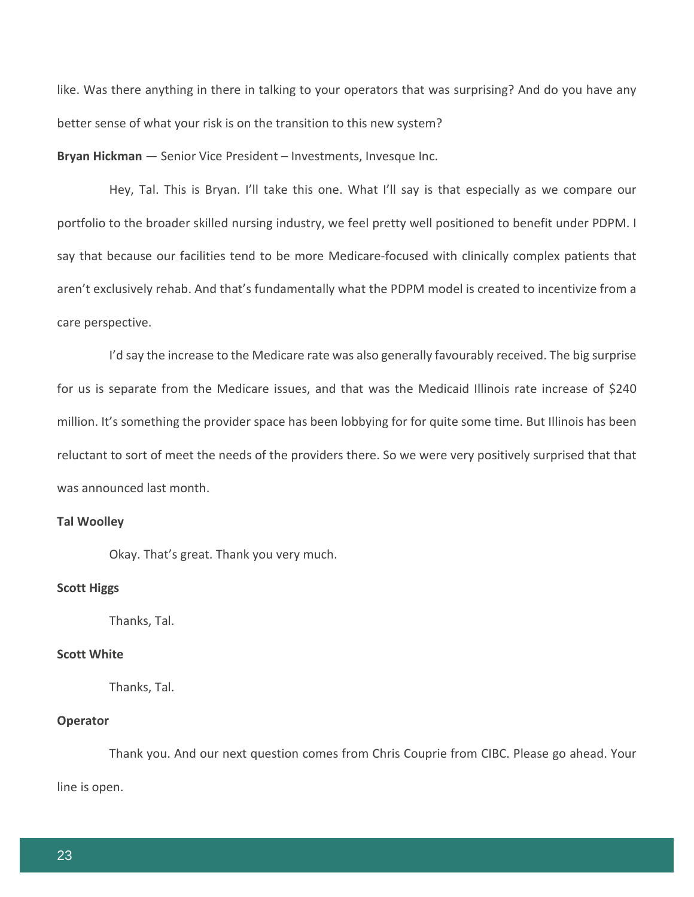like. Was there anything in there in talking to your operators that was surprising? And do you have any better sense of what your risk is on the transition to this new system?

**Bryan Hickman** — Senior Vice President – Investments, Invesque Inc.

Hey, Tal. This is Bryan. I'll take this one. What I'll say is that especially as we compare our portfolio to the broader skilled nursing industry, we feel pretty well positioned to benefit under PDPM. I say that because our facilities tend to be more Medicare-focused with clinically complex patients that aren't exclusively rehab. And that's fundamentally what the PDPM model is created to incentivize from a care perspective.

I'd say the increase to the Medicare rate was also generally favourably received. The big surprise for us is separate from the Medicare issues, and that was the Medicaid Illinois rate increase of \$240 million. It's something the provider space has been lobbying for for quite some time. But Illinois has been reluctant to sort of meet the needs of the providers there. So we were very positively surprised that that was announced last month.

## **Tal Woolley**

Okay. That's great. Thank you very much.

#### **Scott Higgs**

Thanks, Tal.

## **Scott White**

Thanks, Tal.

## **Operator**

Thank you. And our next question comes from Chris Couprie from CIBC. Please go ahead. Your line is open.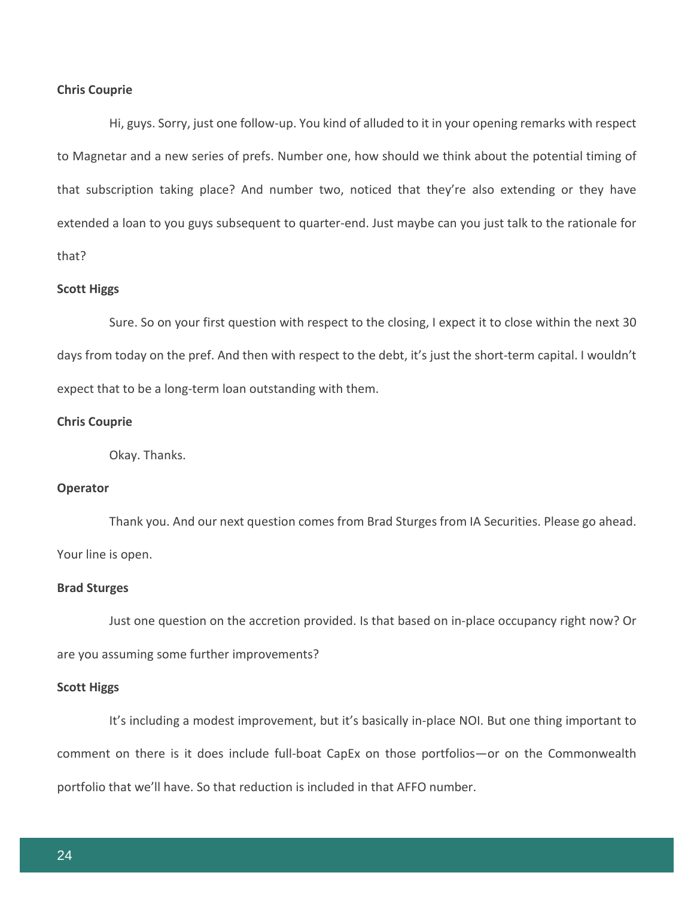#### **Chris Couprie**

Hi, guys. Sorry, just one follow-up. You kind of alluded to it in your opening remarks with respect to Magnetar and a new series of prefs. Number one, how should we think about the potential timing of that subscription taking place? And number two, noticed that they're also extending or they have extended a loan to you guys subsequent to quarter-end. Just maybe can you just talk to the rationale for that?

#### **Scott Higgs**

Sure. So on your first question with respect to the closing, I expect it to close within the next 30 days from today on the pref. And then with respect to the debt, it's just the short-term capital. I wouldn't expect that to be a long-term loan outstanding with them.

#### **Chris Couprie**

Okay. Thanks.

## **Operator**

Thank you. And our next question comes from Brad Sturges from IA Securities. Please go ahead. Your line is open.

#### **Brad Sturges**

Just one question on the accretion provided. Is that based on in-place occupancy right now? Or are you assuming some further improvements?

#### **Scott Higgs**

It's including a modest improvement, but it's basically in-place NOI. But one thing important to comment on there is it does include full-boat CapEx on those portfolios—or on the Commonwealth portfolio that we'll have. So that reduction is included in that AFFO number.